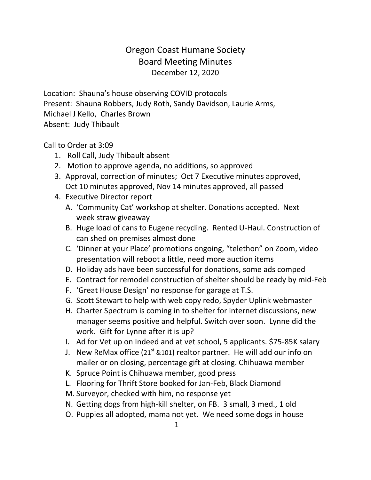## Oregon Coast Humane Society Board Meeting Minutes December 12, 2020

Location: Shauna's house observing COVID protocols Present: Shauna Robbers, Judy Roth, Sandy Davidson, Laurie Arms, Michael J Kello, Charles Brown Absent: Judy Thibault

Call to Order at 3:09

- 1. Roll Call, Judy Thibault absent
- 2. Motion to approve agenda, no additions, so approved
- 3. Approval, correction of minutes; Oct 7 Executive minutes approved, Oct 10 minutes approved, Nov 14 minutes approved, all passed
- 4. Executive Director report
	- A. 'Community Cat' workshop at shelter. Donations accepted. Next week straw giveaway
	- B. Huge load of cans to Eugene recycling. Rented U-Haul. Construction of can shed on premises almost done
	- C. 'Dinner at your Place' promotions ongoing, "telethon" on Zoom, video presentation will reboot a little, need more auction items
	- D. Holiday ads have been successful for donations, some ads comped
	- E. Contract for remodel construction of shelter should be ready by mid-Feb
	- F. 'Great House Design' no response for garage at T.S.
	- G. Scott Stewart to help with web copy redo, Spyder Uplink webmaster
	- H. Charter Spectrum is coming in to shelter for internet discussions, new manager seems positive and helpful. Switch over soon. Lynne did the work. Gift for Lynne after it is up?
	- I. Ad for Vet up on Indeed and at vet school, 5 applicants. \$75-85K salary
	- J. New ReMax office  $(21^{st}$  &101) realtor partner. He will add our info on mailer or on closing, percentage gift at closing. Chihuawa member
	- K. Spruce Point is Chihuawa member, good press
	- L. Flooring for Thrift Store booked for Jan-Feb, Black Diamond
	- M. Surveyor, checked with him, no response yet
	- N. Getting dogs from high-kill shelter, on FB. 3 small, 3 med., 1 old
	- O. Puppies all adopted, mama not yet. We need some dogs in house